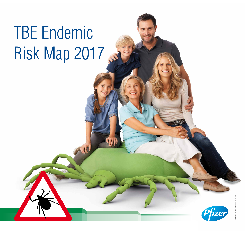

## TBE Endemic Risk Map 2017 Ste